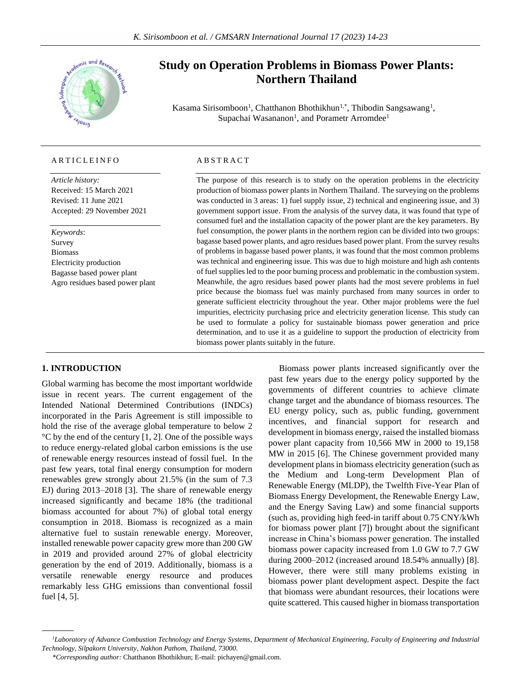

# **ARTICLEINFO**

*Article history:* Received: 15 March 2021 Revised: 11 June 2021 Accepted: 29 November 2021

*Keywords*: Survey Biomass Electricity production Bagasse based power plant Agro residues based power plant

# **Study on Operation Problems in Biomass Power Plants: Northern Thailand**

Kasama Sirisomboon<sup>1</sup>, Chatthanon Bhothikhun<sup>1,\*</sup>, Thibodin Sangsawang<sup>1</sup>, Supachai Wasananon<sup>1</sup>, and Porametr Arromdee<sup>1</sup>

# **ABSTRACT**

The purpose of this research is to study on the operation problems in the electricity production of biomass power plants in Northern Thailand. The surveying on the problems was conducted in 3 areas: 1) fuel supply issue, 2) technical and engineering issue, and 3) government support issue. From the analysis of the survey data, it was found that type of consumed fuel and the installation capacity of the power plant are the key parameters. By fuel consumption, the power plants in the northern region can be divided into two groups: bagasse based power plants, and agro residues based power plant. From the survey results of problems in bagasse based power plants, it was found that the most common problems was technical and engineering issue. This was due to high moisture and high ash contents of fuel supplies led to the poor burning process and problematic in the combustion system. Meanwhile, the agro residues based power plants had the most severe problems in fuel price because the biomass fuel was mainly purchased from many sources in order to generate sufficient electricity throughout the year. Other major problems were the fuel impurities, electricity purchasing price and electricity generation license. This study can be used to formulate a policy for sustainable biomass power generation and price determination, and to use it as a guideline to support the production of electricity from biomass power plants suitably in the future.

# **1. INTRODUCTION**

Global warming has become the most important worldwide issue in recent years. The current engagement of the Intended National Determined Contributions (INDCs) incorporated in the Paris Agreement is still impossible to hold the rise of the average global temperature to below 2  $\rm{^{\circ}C}$  by the end of the century [1, 2]. One of the possible ways to reduce energy-related global carbon emissions is the use of renewable energy resources instead of fossil fuel. In the past few years, total final energy consumption for modern renewables grew strongly about 21.5% (in the sum of 7.3 EJ) during 2013–2018 [3]. The share of renewable energy increased significantly and became 18% (the traditional biomass accounted for about 7%) of global total energy consumption in 2018. Biomass is recognized as a main alternative fuel to sustain renewable energy. Moreover, installed renewable power capacity grew more than 200 GW in 2019 and provided around 27% of global electricity generation by the end of 2019. Additionally, biomass is a versatile renewable energy resource and produces remarkably less GHG emissions than conventional fossil fuel [4, 5].

Biomass power plants increased significantly over the past few years due to the energy policy supported by the governments of different countries to achieve climate change target and the abundance of biomass resources. The EU energy policy, such as, public funding, government incentives, and financial support for research and development in biomass energy, raised the installed biomass power plant capacity from 10,566 MW in 2000 to 19,158 MW in 2015 [6]. The Chinese government provided many development plans in biomass electricity generation (such as the Medium and Long-term Development Plan of Renewable Energy (MLDP), the Twelfth Five-Year Plan of Biomass Energy Development, the Renewable Energy Law, and the Energy Saving Law) and some financial supports (such as, providing high feed-in tariff about 0.75 CNY/kWh for biomass power plant [7]) brought about the significant increase in China's biomass power generation. The installed biomass power capacity increased from 1.0 GW to 7.7 GW during 2000–2012 (increased around 18.54% annually) [8]. However, there were still many problems existing in biomass power plant development aspect. Despite the fact that biomass were abundant resources, their locations were quite scattered. This caused higher in biomass transportation

*<sup>1</sup>Laboratory of Advance Combustion Technology and Energy Systems, Department of Mechanical Engineering, Faculty of Engineering and Industrial Technology, Silpakorn University, Nakhon Pathom, Thailand, 73000.*

*<sup>\*</sup>Corresponding author:* Chatthanon Bhothikhun; E-mail: pichayen@gmail.com.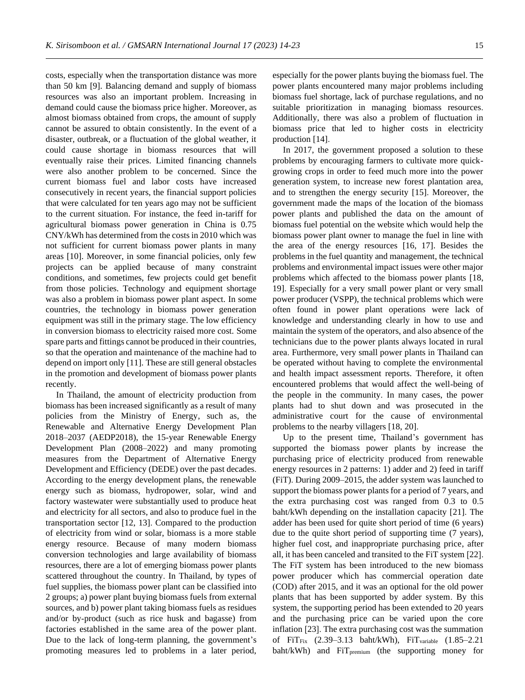costs, especially when the transportation distance was more than 50 km [9]. Balancing demand and supply of biomass resources was also an important problem. Increasing in demand could cause the biomass price higher. Moreover, as almost biomass obtained from crops, the amount of supply cannot be assured to obtain consistently. In the event of a disaster, outbreak, or a fluctuation of the global weather, it could cause shortage in biomass resources that will eventually raise their prices. Limited financing channels were also another problem to be concerned. Since the current biomass fuel and labor costs have increased consecutively in recent years, the financial support policies that were calculated for ten years ago may not be sufficient to the current situation. For instance, the feed in-tariff for agricultural biomass power generation in China is 0.75 CNY/kWh has determined from the costs in 2010 which was not sufficient for current biomass power plants in many areas [10]. Moreover, in some financial policies, only few projects can be applied because of many constraint conditions, and sometimes, few projects could get benefit from those policies. Technology and equipment shortage was also a problem in biomass power plant aspect. In some countries, the technology in biomass power generation equipment was still in the primary stage. The low efficiency in conversion biomass to electricity raised more cost. Some spare parts and fittings cannot be produced in their countries, so that the operation and maintenance of the machine had to depend on import only [11]. These are still general obstacles in the promotion and development of biomass power plants recently.

In Thailand, the amount of electricity production from biomass has been increased significantly as a result of many policies from the Ministry of Energy, such as, the Renewable and Alternative Energy Development Plan 2018–2037 (AEDP2018), the 15-year Renewable Energy Development Plan (2008–2022) and many promoting measures from the Department of Alternative Energy Development and Efficiency (DEDE) over the past decades. According to the energy development plans, the renewable energy such as biomass, hydropower, solar, wind and factory wastewater were substantially used to produce heat and electricity for all sectors, and also to produce fuel in the transportation sector [12, 13]. Compared to the production of electricity from wind or solar, biomass is a more stable energy resource. Because of many modern biomass conversion technologies and large availability of biomass resources, there are a lot of emerging biomass power plants scattered throughout the country. In Thailand, by types of fuel supplies, the biomass power plant can be classified into 2 groups; a) power plant buying biomass fuels from external sources, and b) power plant taking biomass fuels as residues and/or by-product (such as rice husk and bagasse) from factories established in the same area of the power plant. Due to the lack of long-term planning, the government's promoting measures led to problems in a later period, especially for the power plants buying the biomass fuel. The power plants encountered many major problems including biomass fuel shortage, lack of purchase regulations, and no suitable prioritization in managing biomass resources. Additionally, there was also a problem of fluctuation in biomass price that led to higher costs in electricity production [14].

In 2017, the government proposed a solution to these problems by encouraging farmers to cultivate more quickgrowing crops in order to feed much more into the power generation system, to increase new forest plantation area, and to strengthen the energy security [15]. Moreover, the government made the maps of the location of the biomass power plants and published the data on the amount of biomass fuel potential on the website which would help the biomass power plant owner to manage the fuel in line with the area of the energy resources [16, 17]. Besides the problems in the fuel quantity and management, the technical problems and environmental impact issues were other major problems which affected to the biomass power plants [18, 19]. Especially for a very small power plant or very small power producer (VSPP), the technical problems which were often found in power plant operations were lack of knowledge and understanding clearly in how to use and maintain the system of the operators, and also absence of the technicians due to the power plants always located in rural area. Furthermore, very small power plants in Thailand can be operated without having to complete the environmental and health impact assessment reports. Therefore, it often encountered problems that would affect the well-being of the people in the community. In many cases, the power plants had to shut down and was prosecuted in the administrative court for the cause of environmental problems to the nearby villagers [18, 20].

Up to the present time, Thailand's government has supported the biomass power plants by increase the purchasing price of electricity produced from renewable energy resources in 2 patterns: 1) adder and 2) feed in tariff (FiT). During 2009–2015, the adder system was launched to support the biomass power plants for a period of 7 years, and the extra purchasing cost was ranged from 0.3 to 0.5 baht/kWh depending on the installation capacity [21]. The adder has been used for quite short period of time (6 years) due to the quite short period of supporting time (7 years), higher fuel cost, and inappropriate purchasing price, after all, it has been canceled and transited to the FiT system [22]. The FiT system has been introduced to the new biomass power producer which has commercial operation date (COD) after 2015, and it was an optional for the old power plants that has been supported by adder system. By this system, the supporting period has been extended to 20 years and the purchasing price can be varied upon the core inflation [23]. The extra purchasing cost was the summation of FiT<sub>Fix</sub> (2.39-3.13 baht/kWh), FiT<sub>variable</sub> (1.85-2.21) baht/kWh) and FiT<sub>premium</sub> (the supporting money for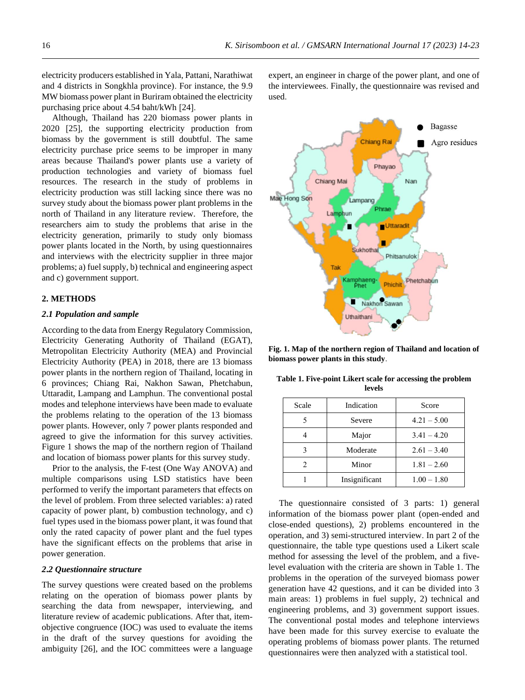electricity producers established in Yala, Pattani, Narathiwat and 4 districts in Songkhla province). For instance, the 9.9 MW biomass power plant in Buriram obtained the electricity purchasing price about 4.54 baht/kWh [24].

Although, Thailand has 220 biomass power plants in 2020 [25], the supporting electricity production from biomass by the government is still doubtful. The same electricity purchase price seems to be improper in many areas because Thailand's power plants use a variety of production technologies and variety of biomass fuel resources. The research in the study of problems in electricity production was still lacking since there was no survey study about the biomass power plant problems in the north of Thailand in any literature review. Therefore, the researchers aim to study the problems that arise in the electricity generation, primarily to study only biomass power plants located in the North, by using questionnaires and interviews with the electricity supplier in three major problems; a) fuel supply, b) technical and engineering aspect and c) government support.

### **2. METHODS**

#### *2***.***1 Population and sample*

According to the data from Energy Regulatory Commission, Electricity Generating Authority of Thailand (EGAT), Metropolitan Electricity Authority (MEA) and Provincial Electricity Authority (PEA) in 2018, there are 13 biomass power plants in the northern region of Thailand, locating in 6 provinces; Chiang Rai, Nakhon Sawan, Phetchabun, Uttaradit, Lampang and Lamphun. The conventional postal modes and telephone interviews have been made to evaluate the problems relating to the operation of the 13 biomass power plants. However, only 7 power plants responded and agreed to give the information for this survey activities. Figure 1 shows the map of the northern region of Thailand and location of biomass power plants for this survey study.

Prior to the analysis, the F-test (One Way ANOVA) and multiple comparisons using LSD statistics have been performed to verify the important parameters that effects on the level of problem. From three selected variables: a) rated capacity of power plant, b) combustion technology, and c) fuel types used in the biomass power plant, it was found that only the rated capacity of power plant and the fuel types have the significant effects on the problems that arise in power generation.

# *2***.***2 Questionnaire structure*

The survey questions were created based on the problems relating on the operation of biomass power plants by searching the data from newspaper, interviewing, and literature review of academic publications. After that, itemobjective congruence (IOC) was used to evaluate the items in the draft of the survey questions for avoiding the ambiguity [26], and the IOC committees were a language expert, an engineer in charge of the power plant, and one of the interviewees. Finally, the questionnaire was revised and used.



**Fig. 1. Map of the northern region of Thailand and location of biomass power plants in this study**.

**Table 1. Five-point Likert scale for accessing the problem levels**

| Scale | Indication    | Score         |  |
|-------|---------------|---------------|--|
|       | Severe        | $4.21 - 5.00$ |  |
|       | Major         | $3.41 - 4.20$ |  |
|       | Moderate      | $2.61 - 3.40$ |  |
|       | Minor         | $1.81 - 2.60$ |  |
|       | Insignificant | $1.00 - 1.80$ |  |

The questionnaire consisted of 3 parts: 1) general information of the biomass power plant (open-ended and close-ended questions), 2) problems encountered in the operation, and 3) semi-structured interview. In part 2 of the questionnaire, the table type questions used a Likert scale method for assessing the level of the problem, and a fivelevel evaluation with the criteria are shown in Table 1. The problems in the operation of the surveyed biomass power generation have 42 questions, and it can be divided into 3 main areas: 1) problems in fuel supply, 2) technical and engineering problems, and 3) government support issues. The conventional postal modes and telephone interviews have been made for this survey exercise to evaluate the operating problems of biomass power plants. The returned questionnaires were then analyzed with a statistical tool.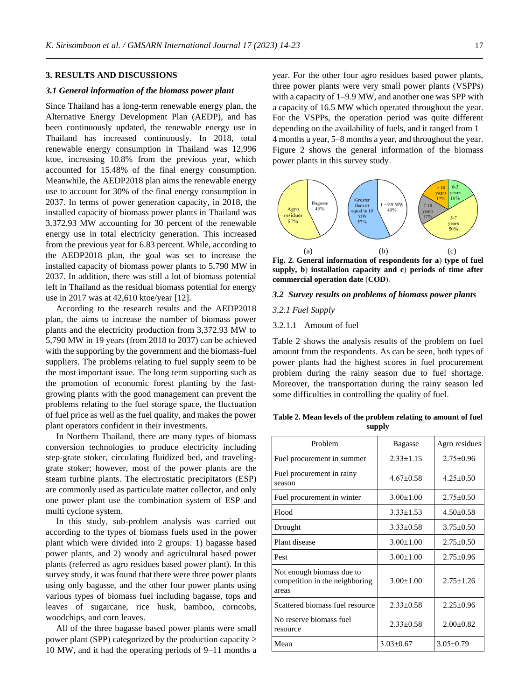# **3. RESULTS AND DISCUSSIONS**

## *3.1 General information of the biomass power plant*

Since Thailand has a long-term renewable energy plan, the Alternative Energy Development Plan (AEDP), and has been continuously updated, the renewable energy use in Thailand has increased continuously. In 2018, total renewable energy consumption in Thailand was 12,996 ktoe, increasing 10.8% from the previous year, which accounted for 15.48% of the final energy consumption. Meanwhile, the AEDP2018 plan aims the renewable energy use to account for 30% of the final energy consumption in 2037. In terms of power generation capacity, in 2018, the installed capacity of biomass power plants in Thailand was 3,372.93 MW accounting for 30 percent of the renewable energy use in total electricity generation. This increased from the previous year for 6.83 percent. While, according to the AEDP2018 plan, the goal was set to increase the installed capacity of biomass power plants to 5,790 MW in 2037. In addition, there was still a lot of biomass potential left in Thailand as the residual biomass potential for energy use in 2017 was at 42,610 ktoe/year [12].

According to the research results and the AEDP2018 plan, the aims to increase the number of biomass power plants and the electricity production from 3,372.93 MW to 5,790 MW in 19 years (from 2018 to 2037) can be achieved with the supporting by the government and the biomass-fuel suppliers. The problems relating to fuel supply seem to be the most important issue. The long term supporting such as the promotion of economic forest planting by the fastgrowing plants with the good management can prevent the problems relating to the fuel storage space, the fluctuation of fuel price as well as the fuel quality, and makes the power plant operators confident in their investments.

In Northern Thailand, there are many types of biomass conversion technologies to produce electricity including step-grate stoker, circulating fluidized bed, and travelinggrate stoker; however, most of the power plants are the steam turbine plants. The electrostatic precipitators (ESP) are commonly used as particulate matter collector, and only one power plant use the combination system of ESP and multi cyclone system.

In this study, sub-problem analysis was carried out according to the types of biomass fuels used in the power plant which were divided into 2 groups: 1) bagasse based power plants, and 2) woody and agricultural based power plants (referred as agro residues based power plant). In this survey study, it was found that there were three power plants using only bagasse, and the other four power plants using various types of biomass fuel including bagasse, tops and leaves of sugarcane, rice husk, bamboo, corncobs, woodchips, and corn leaves.

All of the three bagasse based power plants were small power plant (SPP) categorized by the production capacity  $\geq$ 10 MW, and it had the operating periods of 9–11 months a year. For the other four agro residues based power plants, three power plants were very small power plants (VSPPs) with a capacity of 1–9.9 MW, and another one was SPP with a capacity of 16.5 MW which operated throughout the year. For the VSPPs, the operation period was quite different depending on the availability of fuels, and it ranged from 1– 4 months a year, 5–8 months a year, and throughout the year. Figure 2 shows the general information of the biomass power plants in this survey study.



**supply, b**) **installation capacity and c**) **periods of time after commercial operation date** (**COD**).

## *3.2 Survey results on problems of biomass power plants*

#### *3.2.1 Fuel Supply*

#### 3.2.1.1 Amount of fuel

Table 2 shows the analysis results of the problem on fuel amount from the respondents. As can be seen, both types of power plants had the highest scores in fuel procurement problem during the rainy season due to fuel shortage. Moreover, the transportation during the rainy season led some difficulties in controlling the quality of fuel.

**Table 2. Mean levels of the problem relating to amount of fuel supply**

| Problem                                                              | <b>Bagasse</b>  | Agro residues   |
|----------------------------------------------------------------------|-----------------|-----------------|
| Fuel procurement in summer                                           | $2.33 \pm 1.15$ | $2.75 \pm 0.96$ |
| Fuel procurement in rainy<br>season                                  | $4.67 \pm 0.58$ | $4.25 \pm 0.50$ |
| Fuel procurement in winter                                           | $3.00 + 1.00$   | $2.75 + 0.50$   |
| Flood                                                                | $3.33 \pm 1.53$ | $4.50 \pm 0.58$ |
| Drought                                                              | $3.33 \pm 0.58$ | $3.75 + 0.50$   |
| Plant disease                                                        | $3.00 \pm 1.00$ | $2.75 + 0.50$   |
| Pest                                                                 | $3.00 \pm 1.00$ | $2.75 \pm 0.96$ |
| Not enough biomass due to<br>competition in the neighboring<br>areas | $3.00 \pm 1.00$ | $2.75 + 1.26$   |
| Scattered biomass fuel resource                                      | $2.33 \pm 0.58$ | $2.25 \pm 0.96$ |
| No reserve biomass fuel<br>resource                                  | $2.33 + 0.58$   | $2.00 \pm 0.82$ |
| Mean                                                                 | $3.03 \pm 0.67$ | $3.05 \pm 0.79$ |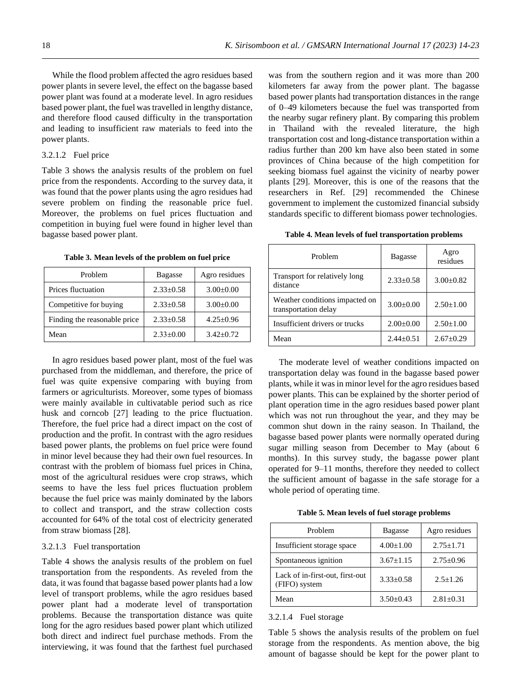While the flood problem affected the agro residues based power plants in severe level, the effect on the bagasse based power plant was found at a moderate level. In agro residues based power plant, the fuel was travelled in lengthy distance, and therefore flood caused difficulty in the transportation and leading to insufficient raw materials to feed into the power plants.

## 3.2.1.2 Fuel price

Table 3 shows the analysis results of the problem on fuel price from the respondents. According to the survey data, it was found that the power plants using the agro residues had severe problem on finding the reasonable price fuel. Moreover, the problems on fuel prices fluctuation and competition in buying fuel were found in higher level than bagasse based power plant.

| Problem                      | <b>Bagasse</b>  | Agro residues   |
|------------------------------|-----------------|-----------------|
| Prices fluctuation           | $2.33 \pm 0.58$ | $3.00 \pm 0.00$ |
| Competitive for buying       | $2.33 \pm 0.58$ | $3.00 \pm 0.00$ |
| Finding the reasonable price | $2.33 \pm 0.58$ | $4.25 \pm 0.96$ |
| Mean                         | $2.33 \pm 0.00$ | $3.42 \pm 0.72$ |

**Table 3. Mean levels of the problem on fuel price**

In agro residues based power plant, most of the fuel was purchased from the middleman, and therefore, the price of fuel was quite expensive comparing with buying from farmers or agriculturists. Moreover, some types of biomass were mainly available in cultivatable period such as rice husk and corncob [27] leading to the price fluctuation. Therefore, the fuel price had a direct impact on the cost of production and the profit. In contrast with the agro residues based power plants, the problems on fuel price were found in minor level because they had their own fuel resources. In contrast with the problem of biomass fuel prices in China, most of the agricultural residues were crop straws, which seems to have the less fuel prices fluctuation problem because the fuel price was mainly dominated by the labors to collect and transport, and the straw collection costs accounted for 64% of the total cost of electricity generated from straw biomass [28].

# 3.2.1.3 Fuel transportation

Table 4 shows the analysis results of the problem on fuel transportation from the respondents. As reveled from the data, it was found that bagasse based power plants had a low level of transport problems, while the agro residues based power plant had a moderate level of transportation problems. Because the transportation distance was quite long for the agro residues based power plant which utilized both direct and indirect fuel purchase methods. From the interviewing, it was found that the farthest fuel purchased

was from the southern region and it was more than 200 kilometers far away from the power plant. The bagasse based power plants had transportation distances in the range of 0–49 kilometers because the fuel was transported from the nearby sugar refinery plant. By comparing this problem in Thailand with the revealed literature, the high transportation cost and long-distance transportation within a radius further than 200 km have also been stated in some provinces of China because of the high competition for seeking biomass fuel against the vicinity of nearby power plants [29]. Moreover, this is one of the reasons that the researchers in Ref. [29] recommended the Chinese government to implement the customized financial subsidy standards specific to different biomass power technologies.

**Table 4. Mean levels of fuel transportation problems**

| Problem                                                | <b>Bagasse</b>  | Agro<br>residues |
|--------------------------------------------------------|-----------------|------------------|
| Transport for relatively long<br>distance              | $2.33 \pm 0.58$ | $3.00 \pm 0.82$  |
| Weather conditions impacted on<br>transportation delay | $3.00 \pm 0.00$ | $2.50 \pm 1.00$  |
| Insufficient drivers or trucks                         | $2.00 \pm 0.00$ | $2.50 \pm 1.00$  |
| Mean                                                   | $2.44 \pm 0.51$ | $2.67 \pm 0.29$  |

The moderate level of weather conditions impacted on transportation delay was found in the bagasse based power plants, while it was in minor level for the agro residues based power plants. This can be explained by the shorter period of plant operation time in the agro residues based power plant which was not run throughout the year, and they may be common shut down in the rainy season. In Thailand, the bagasse based power plants were normally operated during sugar milling season from December to May (about 6 months). In this survey study, the bagasse power plant operated for 9–11 months, therefore they needed to collect the sufficient amount of bagasse in the safe storage for a whole period of operating time.

**Table 5. Mean levels of fuel storage problems**

| Problem                                          | <b>Bagasse</b>  | Agro residues   |
|--------------------------------------------------|-----------------|-----------------|
| Insufficient storage space                       | $4.00 \pm 1.00$ | $2.75 \pm 1.71$ |
| Spontaneous ignition                             | $3.67 \pm 1.15$ | $2.75 \pm 0.96$ |
| Lack of in-first-out, first-out<br>(FIFO) system | $3.33 \pm 0.58$ | $2.5 + 1.26$    |
| Mean                                             | $3.50 \pm 0.43$ | $2.81 + 0.31$   |

3.2.1.4 Fuel storage

Table 5 shows the analysis results of the problem on fuel storage from the respondents. As mention above, the big amount of bagasse should be kept for the power plant to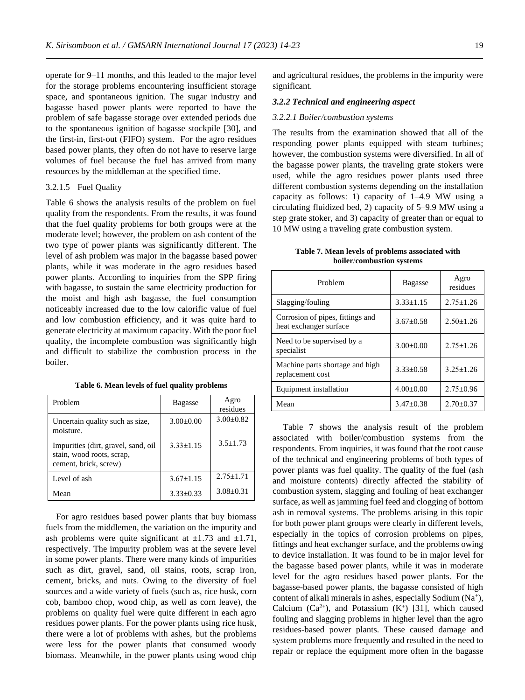operate for 9–11 months, and this leaded to the major level for the storage problems encountering insufficient storage space, and spontaneous ignition. The sugar industry and bagasse based power plants were reported to have the problem of safe bagasse storage over extended periods due to the spontaneous ignition of bagasse stockpile [30], and the first-in, first-out (FIFO) system. For the agro residues based power plants, they often do not have to reserve large volumes of fuel because the fuel has arrived from many resources by the middleman at the specified time.

# 3.2.1.5 Fuel Quality

Table 6 shows the analysis results of the problem on fuel quality from the respondents. From the results, it was found that the fuel quality problems for both groups were at the moderate level; however, the problem on ash content of the two type of power plants was significantly different. The level of ash problem was major in the bagasse based power plants, while it was moderate in the agro residues based power plants. According to inquiries from the SPP firing with bagasse, to sustain the same electricity production for the moist and high ash bagasse, the fuel consumption noticeably increased due to the low calorific value of fuel and low combustion efficiency, and it was quite hard to generate electricity at maximum capacity. With the poor fuel quality, the incomplete combustion was significantly high and difficult to stabilize the combustion process in the boiler.

|  |  | Table 6. Mean levels of fuel quality problems |
|--|--|-----------------------------------------------|
|  |  |                                               |

| Problem                                                                                   | <b>Bagasse</b>  | Agro<br>residues |
|-------------------------------------------------------------------------------------------|-----------------|------------------|
| Uncertain quality such as size,<br>moisture.                                              | $3.00 \pm 0.00$ | $3.00 \pm 0.82$  |
| Impurities (dirt, gravel, sand, oil<br>stain, wood roots, scrap,<br>cement, brick, screw) | $3.33 + 1.15$   | $3.5 + 1.73$     |
| Level of ash                                                                              | $3.67 \pm 1.15$ | $2.75 \pm 1.71$  |
| Mean                                                                                      | $3.33 \pm 0.33$ | $3.08 + 0.31$    |

For agro residues based power plants that buy biomass fuels from the middlemen, the variation on the impurity and ash problems were quite significant at  $\pm 1.73$  and  $\pm 1.71$ , respectively. The impurity problem was at the severe level in some power plants. There were many kinds of impurities such as dirt, gravel, sand, oil stains, roots, scrap iron, cement, bricks, and nuts. Owing to the diversity of fuel sources and a wide variety of fuels (such as, rice husk, corn cob, bamboo chop, wood chip, as well as corn leave), the problems on quality fuel were quite different in each agro residues power plants. For the power plants using rice husk, there were a lot of problems with ashes, but the problems were less for the power plants that consumed woody biomass. Meanwhile, in the power plants using wood chip and agricultural residues, the problems in the impurity were significant.

#### *3.2.2 Technical and engineering aspect*

#### *3.2.2.1 Boiler/combustion systems*

The results from the examination showed that all of the responding power plants equipped with steam turbines; however, the combustion systems were diversified. In all of the bagasse power plants, the traveling grate stokers were used, while the agro residues power plants used three different combustion systems depending on the installation capacity as follows: 1) capacity of 1–4.9 MW using a circulating fluidized bed, 2) capacity of 5–9.9 MW using a step grate stoker, and 3) capacity of greater than or equal to 10 MW using a traveling grate combustion system.

|  |                           |  | Table 7. Mean levels of problems associated with |  |
|--|---------------------------|--|--------------------------------------------------|--|
|  | boiler/combustion systems |  |                                                  |  |

| Problem                                                    | <b>Bagasse</b>  | Agro<br>residues |
|------------------------------------------------------------|-----------------|------------------|
| Slagging/fouling                                           | $3.33 \pm 1.15$ | $2.75 \pm 1.26$  |
| Corrosion of pipes, fittings and<br>heat exchanger surface | $3.67 + 0.58$   | $2.50 + 1.26$    |
| Need to be supervised by a<br>specialist                   | $3.00 \pm 0.00$ | $2.75 \pm 1.26$  |
| Machine parts shortage and high<br>replacement cost        | $3.33+0.58$     | $3.25 + 1.26$    |
| Equipment installation                                     | $4.00 \pm 0.00$ | $2.75 + 0.96$    |
| Mean                                                       | $3.47 \pm 0.38$ | $2.70 \pm 0.37$  |

Table 7 shows the analysis result of the problem associated with boiler/combustion systems from the respondents. From inquiries, it was found that the root cause of the technical and engineering problems of both types of power plants was fuel quality. The quality of the fuel (ash and moisture contents) directly affected the stability of combustion system, slagging and fouling of heat exchanger surface, as well as jamming fuel feed and clogging of bottom ash in removal systems. The problems arising in this topic for both power plant groups were clearly in different levels, especially in the topics of corrosion problems on pipes, fittings and heat exchanger surface, and the problems owing to device installation. It was found to be in major level for the bagasse based power plants, while it was in moderate level for the agro residues based power plants. For the bagasse-based power plants, the bagasse consisted of high content of alkali minerals in ashes, especially Sodium (Na<sup>+</sup>), Calcium  $(Ca^{2+})$ , and Potassium  $(K^+)$  [31], which caused fouling and slagging problems in higher level than the agro residues-based power plants. These caused damage and system problems more frequently and resulted in the need to repair or replace the equipment more often in the bagasse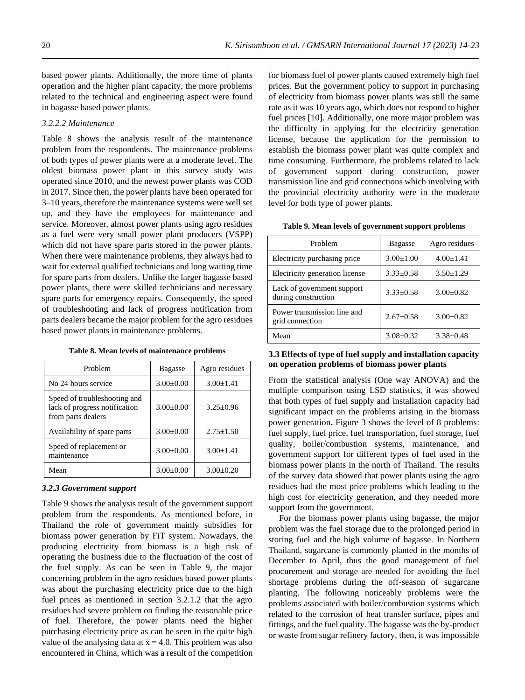based power plants. Additionally, the more time of plants operation and the higher plant capacity, the more problems related to the technical and engineering aspect were found in bagasse based power plants.

## *3.2.2.2 Maintenance*

Table 8 shows the analysis result of the maintenance problem from the respondents. The maintenance problems of both types of power plants were at a moderate level. The oldest biomass power plant in this survey study was operated since 2010, and the newest power plants was COD in 2017. Since then, the power plants have been operated for 3–10 years, therefore the maintenance systems were well set up, and they have the employees for maintenance and service. Moreover, almost power plants using agro residues as a fuel were very small power plant producers (VSPP) which did not have spare parts stored in the power plants. When there were maintenance problems, they always had to wait for external qualified technicians and long waiting time for spare parts from dealers. Unlike the larger bagasse based power plants, there were skilled technicians and necessary spare parts for emergency repairs. Consequently, the speed of troubleshooting and lack of progress notification from parts dealers became the major problem for the agro residues based power plants in maintenance problems.

**Table 8. Mean levels of maintenance problems**

| Problem                                                                             | <b>Bagasse</b>  | Agro residues   |
|-------------------------------------------------------------------------------------|-----------------|-----------------|
| No 24 hours service                                                                 | $3.00 \pm 0.00$ | $3.00 \pm 1.41$ |
| Speed of troubleshooting and<br>lack of progress notification<br>from parts dealers | $3.00 \pm 0.00$ | $3.25 + 0.96$   |
| Availability of spare parts                                                         | $3.00 \pm 0.00$ | $2.75 \pm 1.50$ |
| Speed of replacement or<br>maintenance                                              | $3.00 \pm 0.00$ | $3.00 + 1.41$   |
| Mean                                                                                | $3.00 \pm 0.00$ | $3.00 \pm 0.20$ |

## *3***.***2***.***3 Government support*

Table 9 shows the analysis result of the government support problem from the respondents. As mentioned before, in Thailand the role of government mainly subsidies for biomass power generation by FiT system. Nowadays, the producing electricity from biomass is a high risk of operating the business due to the fluctuation of the cost of the fuel supply. As can be seen in Table 9, the major concerning problem in the agro residues based power plants was about the purchasing electricity price due to the high fuel prices as mentioned in section 3.2.1.2 that the agro residues had severe problem on finding the reasonable price of fuel. Therefore, the power plants need the higher purchasing electricity price as can be seen in the quite high value of the analysing data at  $\bar{x} = 4.0$ . This problem was also encountered in China, which was a result of the competition

for biomass fuel of power plants caused extremely high fuel prices. But the government policy to support in purchasing of electricity from biomass power plants was still the same rate as it was 10 years ago, which does not respond to higher fuel prices [10]. Additionally, one more major problem was the difficulty in applying for the electricity generation license, because the application for the permission to establish the biomass power plant was quite complex and time consuming. Furthermore, the problems related to lack of government support during construction, power transmission line and grid connections which involving with the provincial electricity authority were in the moderate level for both type of power plants.

**Table 9. Mean levels of government support problems**

| Problem                                           | <b>Bagasse</b>  | Agro residues   |
|---------------------------------------------------|-----------------|-----------------|
| Electricity purchasing price                      | $3.00 \pm 1.00$ | $4.00 \pm 1.41$ |
| Electricity generation license                    | $3.33 \pm 0.58$ | $3.50 \pm 1.29$ |
| Lack of government support<br>during construction | $3.33 \pm 0.58$ | $3.00 \pm 0.82$ |
| Power transmission line and<br>grid connection    | $2.67 \pm 0.58$ | $3.00 \pm 0.82$ |
| Mean                                              | $3.08 \pm 0.32$ | $3.38 \pm 0.48$ |

# **3.3 Effects of type of fuel supply and installation capacity on operation problems of biomass power plants**

From the statistical analysis (One way ANOVA) and the multiple comparison using LSD statistics, it was showed that both types of fuel supply and installation capacity had significant impact on the problems arising in the biomass power generation**.** Figure 3 shows the level of 8 problems: fuel supply, fuel price, fuel transportation, fuel storage, fuel quality, boiler/combustion systems, maintenance, and government support for different types of fuel used in the biomass power plants in the north of Thailand. The results of the survey data showed that power plants using the agro residues had the most price problems which leading to the high cost for electricity generation, and they needed more support from the government.

For the biomass power plants using bagasse, the major problem was the fuel storage due to the prolonged period in storing fuel and the high volume of bagasse. In Northern Thailand, sugarcane is commonly planted in the months of December to April, thus the good management of fuel procurement and storage are needed for avoiding the fuel shortage problems during the off-season of sugarcane planting. The following noticeably problems were the problems associated with boiler/combustion systems which related to the corrosion of heat transfer surface, pipes and fittings, and the fuel quality. The bagasse was the by-product or waste from sugar refinery factory, then, it was impossible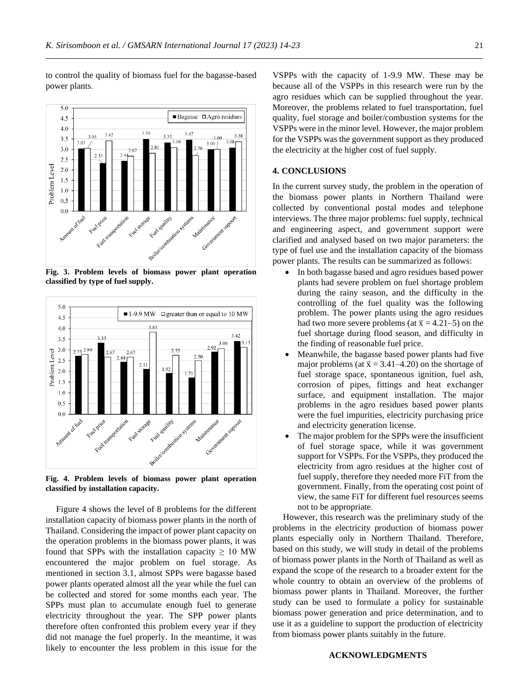

to control the quality of biomass fuel for the bagasse-based

power plants.

**Fig. 3. Problem levels of biomass power plant operation classified by type of fuel supply.**



**Fig. 4. Problem levels of biomass power plant operation classified by installation capacity.**

Figure 4 shows the level of 8 problems for the different installation capacity of biomass power plants in the north of Thailand. Considering the impact of power plant capacity on the operation problems in the biomass power plants, it was found that SPPs with the installation capacity  $\geq 10$  MW encountered the major problem on fuel storage. As mentioned in section 3.1, almost SPPs were bagasse based power plants operated almost all the year while the fuel can be collected and stored for some months each year. The SPPs must plan to accumulate enough fuel to generate electricity throughout the year. The SPP power plants therefore often confronted this problem every year if they did not manage the fuel properly. In the meantime, it was likely to encounter the less problem in this issue for the

VSPPs with the capacity of 1-9.9 MW. These may be because all of the VSPPs in this research were run by the agro residues which can be supplied throughout the year. Moreover, the problems related to fuel transportation, fuel quality, fuel storage and boiler/combustion systems for the VSPPs were in the minor level. However, the major problem for the VSPPs was the government support as they produced the electricity at the higher cost of fuel supply.

#### **4. CONCLUSIONS**

In the current survey study, the problem in the operation of the biomass power plants in Northern Thailand were collected by conventional postal modes and telephone interviews. The three major problems: fuel supply, technical and engineering aspect, and government support were clarified and analysed based on two major parameters: the type of fuel use and the installation capacity of the biomass power plants. The results can be summarized as follows:

- In both bagasse based and agro residues based power plants had severe problem on fuel shortage problem during the rainy season, and the difficulty in the controlling of the fuel quality was the following problem. The power plants using the agro residues had two more severe problems (at  $\bar{x} = 4.21-5$ ) on the fuel shortage during flood season, and difficulty in the finding of reasonable fuel price.
- Meanwhile, the bagasse based power plants had five major problems (at  $\bar{x}$  = 3.41–4.20) on the shortage of fuel storage space, spontaneous ignition, fuel ash, corrosion of pipes, fittings and heat exchanger surface, and equipment installation. The major problems in the agro residues based power plants were the fuel impurities, electricity purchasing price and electricity generation license.
- The major problem for the SPPs were the insufficient of fuel storage space, while it was government support for VSPPs. For the VSPPs, they produced the electricity from agro residues at the higher cost of fuel supply, therefore they needed more FiT from the government. Finally, from the operating cost point of view, the same FiT for different fuel resources seems not to be appropriate.

However, this research was the preliminary study of the problems in the electricity production of biomass power plants especially only in Northern Thailand. Therefore, based on this study, we will study in detail of the problems of biomass power plants in the North of Thailand as well as expand the scope of the research to a broader extent for the whole country to obtain an overview of the problems of biomass power plants in Thailand. Moreover, the further study can be used to formulate a policy for sustainable biomass power generation and price determination, and to use it as a guideline to support the production of electricity from biomass power plants suitably in the future.

#### **ACKNOWLEDGMENTS**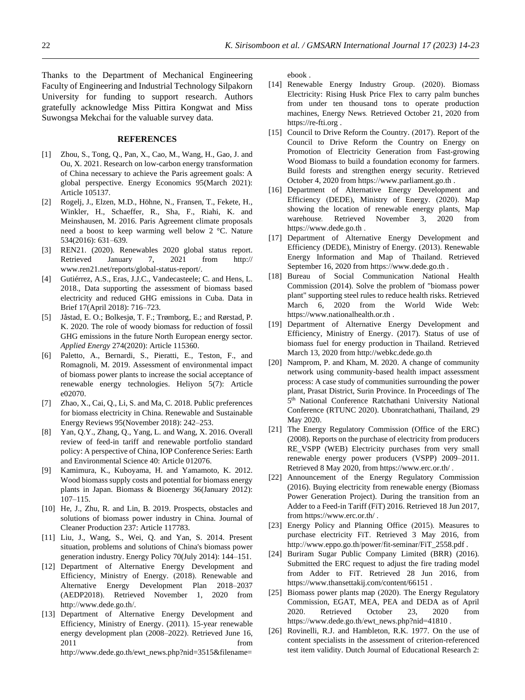Thanks to the Department of Mechanical Engineering Faculty of Engineering and Industrial Technology Silpakorn University for funding to support research. Authors gratefully acknowledge Miss Pittira Kongwat and Miss Suwongsa Mekchai for the valuable survey data.

# **REFERENCES**

- [1] Zhou, S., Tong, Q., Pan, X., Cao, M., Wang, H., Gao, J. and Ou, X. 2021. Research on low-carbon energy transformation of China necessary to achieve the Paris agreement goals: A global perspective. Energy Economics 95(March 2021): Article 105137.
- [2] Rogelj, J., Elzen, M.D., Höhne, N., Fransen, T., Fekete, H., Winkler, H., Schaeffer, R., Sha, F., Riahi, K. and Meinshausen, M. 2016. Paris Agreement climate proposals need a boost to keep warming well below 2 °C. Nature 534(2016): 631–639.
- [3] REN21. (2020). Renewables 2020 global status report. Retrieved January 7, 2021 from http:// [www.ren21.net/reports/global-status-report/.](http://www.ren21.net/reports/global-status-report/)
- [4] Gutiérrez, A.S., Eras, J.J.C., Vandecasteele; C. and Hens, L. 2018., Data supporting the assessment of biomass based electricity and reduced GHG emissions in Cuba. Data in Brief 17(April 2018): 716–723.
- [5] Jåstad, E. O.; Bolkesjø, T. F.; Trømborg, E.; and Rørstad, P. K. 2020. The role of woody biomass for reduction of fossil GHG emissions in the future North European energy sector. *Applied Energy* 274(2020): Article 115360.
- [6] Paletto, A., Bernardi, S., Pieratti, E., Teston, F., and Romagnoli, M. 2019. Assessment of environmental impact of biomass power plants to increase the social acceptance of renewable energy technologies. Heliyon 5(7): Article e02070.
- [7] Zhao, X., Cai, Q., Li, S. and Ma, C. 2018. Public preferences for biomass electricity in China. Renewable and Sustainable Energy Reviews 95(November 2018): 242–253.
- [8] Yan, Q.Y., Zhang, Q., Yang, L. and Wang, X. 2016. Overall review of feed-in tariff and renewable portfolio standard policy: A perspective of China, IOP Conference Series: Earth and Environmental Science 40: Article 012076.
- [9] Kamimura, K., Kuboyama, H. and Yamamoto, K. 2012. Wood biomass supply costs and potential for biomass energy plants in Japan. Biomass & Bioenergy 36(January 2012): 107–115.
- [10] He, J., Zhu, R. and Lin, B. 2019. Prospects, obstacles and solutions of biomass power industry in China. Journal of Cleaner Production 237: Article 117783.
- [11] Liu, J., Wang, S., Wei, Q. and Yan, S. 2014. Present situation, problems and solutions of China's biomass power generation industry. Energy Policy 70(July 2014): 144–151.
- [12] Department of Alternative Energy Development and Efficiency, Ministry of Energy. (2018). Renewable and Alternative Energy Development Plan 2018–2037 (AEDP2018). Retrieved November 1, 2020 from [http://www.dede.go.th/.](http://www.dede.go.th/)
- [13] Department of Alternative Energy Development and Efficiency, Ministry of Energy. (2011). 15-year renewable energy development plan (2008–2022). Retrieved June 16, 2011 from [http://www.dede.go.th/ewt\\_news.php?nid=3515&filename=](http://www.dede.go.th/ewt_news.php?nid=3515&filename=ebook)

[ebook](http://www.dede.go.th/ewt_news.php?nid=3515&filename=ebook) .

- [14] Renewable Energy Industry Group. (2020). Biomass Electricity: Rising Husk Price Flex to carry palm bunches from under ten thousand tons to operate production machines, Energy News*.* Retrieved October 21, 2020 from [https://re-fti.org](https://re-fti.org/) .
- [15] Council to Drive Reform the Country. (2017). Report of the Council to Drive Reform the Country on Energy on Promotion of Electricity Generation from Fast-growing Wood Biomass to build a foundation economy for farmers. Build forests and strengthen energy security. Retrieved October 4, 2020 from [https://www.parliament.go.th](https://www.parliament.go.th/) .
- [16] Department of Alternative Energy Development and Efficiency (DEDE), Ministry of Energy. (2020). Map showing the location of renewable energy plants, Map warehouse*.* Retrieved November 3, 2020 from [https://www.dede.go.th](https://www.dede.go.th/) .
- [17] Department of Alternative Energy Development and Efficiency (DEDE), Ministry of Energy. (2013). Renewable Energy Information and Map of Thailand. Retrieved September 16, 2020 from [https://www.dede.go.th](https://www.dede.go.th/) .
- [18] Bureau of Social Communication National Health Commission (2014). Solve the problem of "biomass power plant" supporting steel rules to reduce health risks. Retrieved March 6, 2020 from the World Wide Web: [https://www.nationalhealth.or.th](https://www.nationalhealth.or.th/) .
- [19] Department of Alternative Energy Development and Efficiency, Ministry of Energy. (2017). Status of use of biomass fuel for energy production in Thailand. Retrieved March 13, 2020 from [http://webkc.dede.go.th](http://webkc.dede.go.th/)
- [20] Namprom, P. and Kham, M. 2020. A change of community network using community-based health impact assessment process: A case study of communities surrounding the power plant, Prasat District, Surin Province. In Proceedings of The 5<sup>th</sup> National Conference Ratchathani University National Conference (RTUNC 2020). Ubonratchathani, Thailand, 29 May 2020.
- [21] The Energy Regulatory Commission (Office of the ERC) (2008). Reports on the purchase of electricity from producers RE\_VSPP (WEB) Electricity purchases from very small renewable energy power producers (VSPP) 2009–2011. Retrieved 8 May 2020, fro[m https://www.erc.or.th/](https://www.erc.or.th/) .
- [22] Announcement of the Energy Regulatory Commission (2016). Buying electricity from renewable energy (Biomass Power Generation Project). During the transition from an Adder to a Feed-in Tariff (FiT) 2016. Retrieved 18 Jun 2017, fro[m https://www.erc.or.th/](https://www.erc.or.th/) .
- [23] Energy Policy and Planning Office (2015). Measures to purchase electricity FiT. Retrieved 3 May 2016, from [http://www.eppo.go.th/power/fit-seminar/FiT\\_2558.pdf](http://www.eppo.go.th/power/fit-seminar/FiT_2558.pdf) .
- [24] Buriram Sugar Public Company Limited (BRR) (2016). Submitted the ERC request to adjust the fire trading model from Adder to FiT. Retrieved 28 Jun 2016, from <https://www.thansettakij.com/content/66151> .
- [25] Biomass power plants map (2020). The Energy Regulatory Commission, EGAT, MEA, PEA and DEDA as of April 2020. Retrieved October 23, 2020 from [https://www.dede.go.th/ewt\\_news.php?nid=41810](https://www.dede.go.th/ewt_news.php?nid=41810) .
- [26] Rovinelli, R.J. and Hambleton, R.K. 1977. On the use of content specialists in the assessment of criterion-referenced test item validity. Dutch Journal of Educational Research 2: